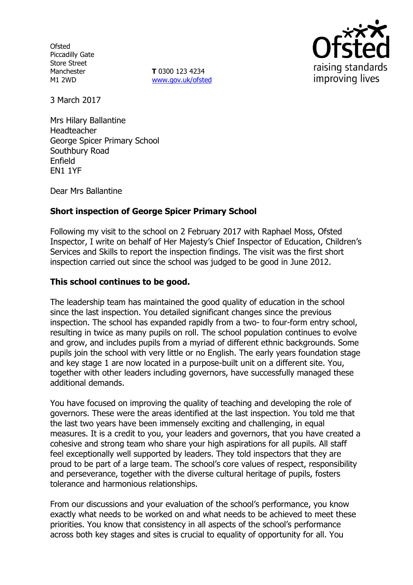**Ofsted** Piccadilly Gate Store Street Manchester M1 2WD

**T** 0300 123 4234 [www.gov.uk/ofsted](http://www.gov.uk/ofsted)



3 March 2017

Mrs Hilary Ballantine Headteacher George Spicer Primary School Southbury Road Enfield EN1 1YF

Dear Mrs Ballantine

# **Short inspection of George Spicer Primary School**

Following my visit to the school on 2 February 2017 with Raphael Moss, Ofsted Inspector, I write on behalf of Her Majesty's Chief Inspector of Education, Children's Services and Skills to report the inspection findings. The visit was the first short inspection carried out since the school was judged to be good in June 2012.

## **This school continues to be good.**

The leadership team has maintained the good quality of education in the school since the last inspection. You detailed significant changes since the previous inspection. The school has expanded rapidly from a two- to four-form entry school, resulting in twice as many pupils on roll. The school population continues to evolve and grow, and includes pupils from a myriad of different ethnic backgrounds. Some pupils join the school with very little or no English. The early years foundation stage and key stage 1 are now located in a purpose-built unit on a different site. You, together with other leaders including governors, have successfully managed these additional demands.

You have focused on improving the quality of teaching and developing the role of governors. These were the areas identified at the last inspection. You told me that the last two years have been immensely exciting and challenging, in equal measures. It is a credit to you, your leaders and governors, that you have created a cohesive and strong team who share your high aspirations for all pupils. All staff feel exceptionally well supported by leaders. They told inspectors that they are proud to be part of a large team. The school's core values of respect, responsibility and perseverance, together with the diverse cultural heritage of pupils, fosters tolerance and harmonious relationships.

From our discussions and your evaluation of the school's performance, you know exactly what needs to be worked on and what needs to be achieved to meet these priorities. You know that consistency in all aspects of the school's performance across both key stages and sites is crucial to equality of opportunity for all. You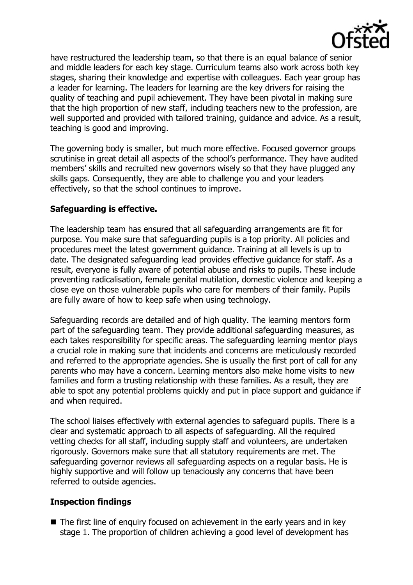

have restructured the leadership team, so that there is an equal balance of senior and middle leaders for each key stage. Curriculum teams also work across both key stages, sharing their knowledge and expertise with colleagues. Each year group has a leader for learning. The leaders for learning are the key drivers for raising the quality of teaching and pupil achievement. They have been pivotal in making sure that the high proportion of new staff, including teachers new to the profession, are well supported and provided with tailored training, guidance and advice. As a result, teaching is good and improving.

The governing body is smaller, but much more effective. Focused governor groups scrutinise in great detail all aspects of the school's performance. They have audited members' skills and recruited new governors wisely so that they have plugged any skills gaps. Consequently, they are able to challenge you and your leaders effectively, so that the school continues to improve.

## **Safeguarding is effective.**

The leadership team has ensured that all safeguarding arrangements are fit for purpose. You make sure that safeguarding pupils is a top priority. All policies and procedures meet the latest government guidance. Training at all levels is up to date. The designated safeguarding lead provides effective guidance for staff. As a result, everyone is fully aware of potential abuse and risks to pupils. These include preventing radicalisation, female genital mutilation, domestic violence and keeping a close eye on those vulnerable pupils who care for members of their family. Pupils are fully aware of how to keep safe when using technology.

Safeguarding records are detailed and of high quality. The learning mentors form part of the safeguarding team. They provide additional safeguarding measures, as each takes responsibility for specific areas. The safeguarding learning mentor plays a crucial role in making sure that incidents and concerns are meticulously recorded and referred to the appropriate agencies. She is usually the first port of call for any parents who may have a concern. Learning mentors also make home visits to new families and form a trusting relationship with these families. As a result, they are able to spot any potential problems quickly and put in place support and guidance if and when required.

The school liaises effectively with external agencies to safeguard pupils. There is a clear and systematic approach to all aspects of safeguarding. All the required vetting checks for all staff, including supply staff and volunteers, are undertaken rigorously. Governors make sure that all statutory requirements are met. The safeguarding governor reviews all safeguarding aspects on a regular basis. He is highly supportive and will follow up tenaciously any concerns that have been referred to outside agencies.

# **Inspection findings**

■ The first line of enquiry focused on achievement in the early years and in key stage 1. The proportion of children achieving a good level of development has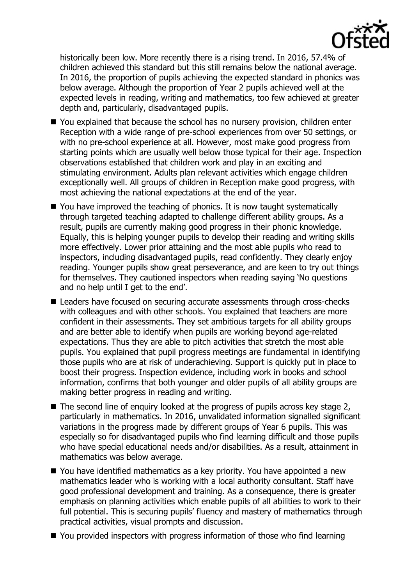

historically been low. More recently there is a rising trend. In 2016, 57.4% of children achieved this standard but this still remains below the national average. In 2016, the proportion of pupils achieving the expected standard in phonics was below average. Although the proportion of Year 2 pupils achieved well at the expected levels in reading, writing and mathematics, too few achieved at greater depth and, particularly, disadvantaged pupils.

- You explained that because the school has no nursery provision, children enter Reception with a wide range of pre-school experiences from over 50 settings, or with no pre-school experience at all. However, most make good progress from starting points which are usually well below those typical for their age. Inspection observations established that children work and play in an exciting and stimulating environment. Adults plan relevant activities which engage children exceptionally well. All groups of children in Reception make good progress, with most achieving the national expectations at the end of the year.
- You have improved the teaching of phonics. It is now taught systematically through targeted teaching adapted to challenge different ability groups. As a result, pupils are currently making good progress in their phonic knowledge. Equally, this is helping younger pupils to develop their reading and writing skills more effectively. Lower prior attaining and the most able pupils who read to inspectors, including disadvantaged pupils, read confidently. They clearly enjoy reading. Younger pupils show great perseverance, and are keen to try out things for themselves. They cautioned inspectors when reading saying 'No questions and no help until I get to the end'.
- Leaders have focused on securing accurate assessments through cross-checks with colleagues and with other schools. You explained that teachers are more confident in their assessments. They set ambitious targets for all ability groups and are better able to identify when pupils are working beyond age-related expectations. Thus they are able to pitch activities that stretch the most able pupils. You explained that pupil progress meetings are fundamental in identifying those pupils who are at risk of underachieving. Support is quickly put in place to boost their progress. Inspection evidence, including work in books and school information, confirms that both younger and older pupils of all ability groups are making better progress in reading and writing.
- $\blacksquare$  The second line of enquiry looked at the progress of pupils across key stage 2, particularly in mathematics. In 2016, unvalidated information signalled significant variations in the progress made by different groups of Year 6 pupils. This was especially so for disadvantaged pupils who find learning difficult and those pupils who have special educational needs and/or disabilities. As a result, attainment in mathematics was below average.
- You have identified mathematics as a key priority. You have appointed a new mathematics leader who is working with a local authority consultant. Staff have good professional development and training. As a consequence, there is greater emphasis on planning activities which enable pupils of all abilities to work to their full potential. This is securing pupils' fluency and mastery of mathematics through practical activities, visual prompts and discussion.
- You provided inspectors with progress information of those who find learning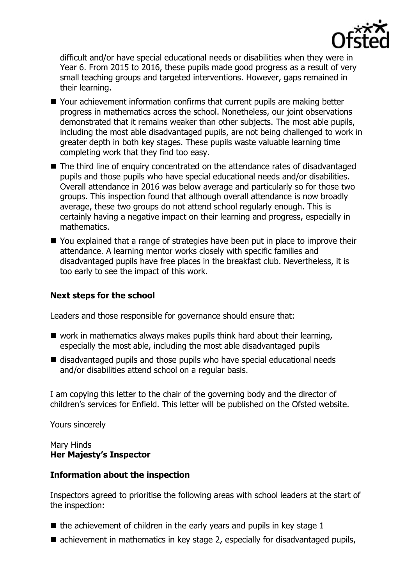

difficult and/or have special educational needs or disabilities when they were in Year 6. From 2015 to 2016, these pupils made good progress as a result of very small teaching groups and targeted interventions. However, gaps remained in their learning.

- Your achievement information confirms that current pupils are making better progress in mathematics across the school. Nonetheless, our joint observations demonstrated that it remains weaker than other subjects. The most able pupils, including the most able disadvantaged pupils, are not being challenged to work in greater depth in both key stages. These pupils waste valuable learning time completing work that they find too easy.
- The third line of enquiry concentrated on the attendance rates of disadvantaged pupils and those pupils who have special educational needs and/or disabilities. Overall attendance in 2016 was below average and particularly so for those two groups. This inspection found that although overall attendance is now broadly average, these two groups do not attend school regularly enough. This is certainly having a negative impact on their learning and progress, especially in mathematics.
- You explained that a range of strategies have been put in place to improve their attendance. A learning mentor works closely with specific families and disadvantaged pupils have free places in the breakfast club. Nevertheless, it is too early to see the impact of this work.

## **Next steps for the school**

Leaders and those responsible for governance should ensure that:

- $\blacksquare$  work in mathematics always makes pupils think hard about their learning, especially the most able, including the most able disadvantaged pupils
- disadvantaged pupils and those pupils who have special educational needs and/or disabilities attend school on a regular basis.

I am copying this letter to the chair of the governing body and the director of children's services for Enfield. This letter will be published on the Ofsted website.

Yours sincerely

## Mary Hinds **Her Majesty's Inspector**

#### **Information about the inspection**

Inspectors agreed to prioritise the following areas with school leaders at the start of the inspection:

- $\blacksquare$  the achievement of children in the early years and pupils in key stage 1
- achievement in mathematics in key stage 2, especially for disadvantaged pupils,